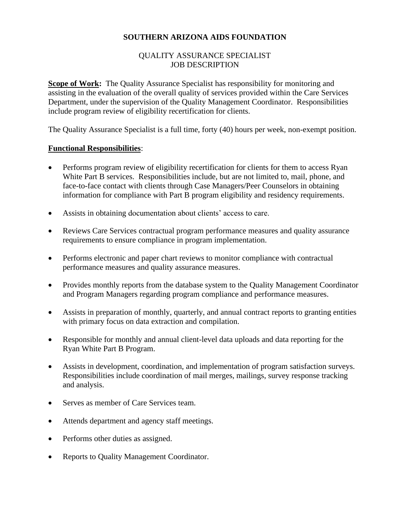## **SOUTHERN ARIZONA AIDS FOUNDATION**

#### QUALITY ASSURANCE SPECIALIST JOB DESCRIPTION

**Scope of Work:** The Quality Assurance Specialist has responsibility for monitoring and assisting in the evaluation of the overall quality of services provided within the Care Services Department, under the supervision of the Quality Management Coordinator. Responsibilities include program review of eligibility recertification for clients.

The Quality Assurance Specialist is a full time, forty (40) hours per week, non-exempt position.

#### **Functional Responsibilities**:

- Performs program review of eligibility recertification for clients for them to access Ryan White Part B services. Responsibilities include, but are not limited to, mail, phone, and face-to-face contact with clients through Case Managers/Peer Counselors in obtaining information for compliance with Part B program eligibility and residency requirements.
- Assists in obtaining documentation about clients' access to care.
- Reviews Care Services contractual program performance measures and quality assurance requirements to ensure compliance in program implementation.
- Performs electronic and paper chart reviews to monitor compliance with contractual performance measures and quality assurance measures.
- Provides monthly reports from the database system to the Quality Management Coordinator and Program Managers regarding program compliance and performance measures.
- Assists in preparation of monthly, quarterly, and annual contract reports to granting entities with primary focus on data extraction and compilation.
- Responsible for monthly and annual client-level data uploads and data reporting for the Ryan White Part B Program.
- Assists in development, coordination, and implementation of program satisfaction surveys. Responsibilities include coordination of mail merges, mailings, survey response tracking and analysis.
- Serves as member of Care Services team.
- Attends department and agency staff meetings.
- Performs other duties as assigned.
- Reports to Quality Management Coordinator.